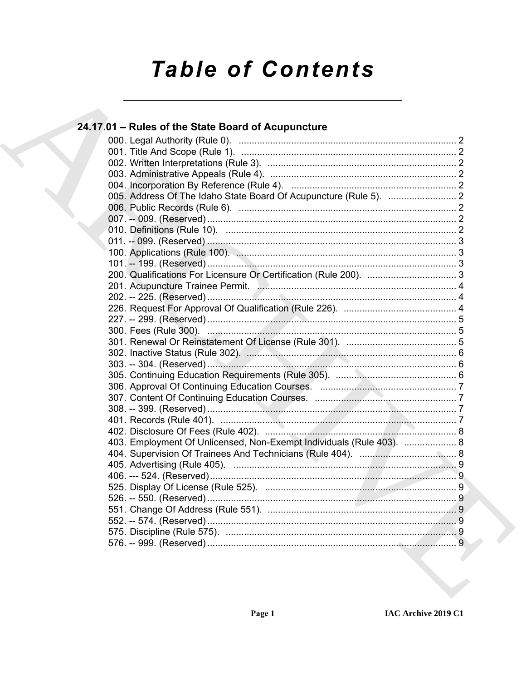# **Table of Contents**

### 24.17.01 - Rules of the State Board of Acupuncture 403. Employment Of Unlicensed, Non-Exempt Individuals (Rule 403). .................... 8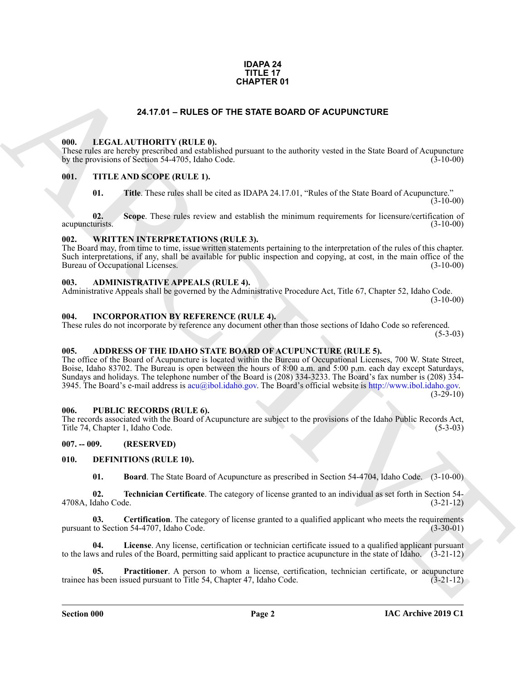#### **IDAPA 24 TITLE 17 CHAPTER 01**

#### **24.17.01 – RULES OF THE STATE BOARD OF ACUPUNCTURE**

#### <span id="page-1-19"></span><span id="page-1-1"></span><span id="page-1-0"></span>**000. LEGAL AUTHORITY (RULE 0).**

These rules are hereby prescribed and established pursuant to the authority vested in the State Board of Acupuncture by the provisions of Section 54-4705, Idaho Code. (3-10-00)

#### <span id="page-1-2"></span>**001. TITLE AND SCOPE (RULE 1).**

<span id="page-1-21"></span>**01.** Title. These rules shall be cited as IDAPA 24.17.01, "Rules of the State Board of Acupuncture." (3-10-00)

**02.** Scope. These rules review and establish the minimum requirements for licensure/certification of urists. (3-10-00) acupuncturists.

#### <span id="page-1-22"></span><span id="page-1-3"></span>**002. WRITTEN INTERPRETATIONS (RULE 3).**

The Board may, from time to time, issue written statements pertaining to the interpretation of the rules of this chapter. Such interpretations, if any, shall be available for public inspection and copying, at cost, in the main office of the Bureau of Occupational Licenses. (3-10-00)

#### <span id="page-1-11"></span><span id="page-1-4"></span>**003. ADMINISTRATIVE APPEALS (RULE 4).**

Administrative Appeals shall be governed by the Administrative Procedure Act, Title 67, Chapter 52, Idaho Code.  $(3-10-00)$ 

#### <span id="page-1-18"></span><span id="page-1-5"></span>**004. INCORPORATION BY REFERENCE (RULE 4).**

These rules do not incorporate by reference any document other than those sections of Idaho Code so referenced.  $(5-3-03)$ 

#### <span id="page-1-10"></span><span id="page-1-6"></span>**005. ADDRESS OF THE IDAHO STATE BOARD OF ACUPUNCTURE (RULE 5).**

**C[H](mailto:acu@ibol.idaho.gov)APTER OT**<br> **CHAPTER OT**<br> **CHAPTER ONE OF THE STATE BOARD OF ACUPUNCTURE**<br> **CHAPTER ONE ARCH[I](http://www.ibol.idaho.gov)VE CHAPTER CONDUCTIVE**<br> **CHAPTER CHAPTER (ARCHIVE CONDUCT)**<br> **CHAPTER CHAPTER (ARCHIVE CONDUCT)**<br> **CHAPTER CHAPTER CHAPTER CHA** The office of the Board of Acupuncture is located within the Bureau of Occupational Licenses, 700 W. State Street, Boise, Idaho 83702. The Bureau is open between the hours of 8:00 a.m. and 5:00 p.m. each day except Saturdays, Sundays and holidays. The telephone number of the Board is (208) 334-3233. The Board's fax number is (208) 334- 3945. The Board's e-mail address is  $\alpha(u/bol.$ idaho.gov. The Board's official website is http://www.ibol.idaho.gov.  $(3-29-10)$ 

#### <span id="page-1-20"></span><span id="page-1-7"></span>**006. PUBLIC RECORDS (RULE 6).**

The records associated with the Board of Acupuncture are subject to the provisions of the Idaho Public Records Act, Title 74, Chapter 1, Idaho Code. (5-3-03)

#### <span id="page-1-8"></span>**007. -- 009. (RESERVED)**

#### <span id="page-1-9"></span>**010. DEFINITIONS (RULE 10).**

<span id="page-1-17"></span><span id="page-1-14"></span><span id="page-1-13"></span><span id="page-1-12"></span>**01. Board**. The State Board of Acupuncture as prescribed in Section 54-4704, Idaho Code. (3-10-00)

**02. Technician Certificate**. The category of license granted to an individual as set forth in Section 54- 4708A, Idaho Code. (3-21-12)

**03.** Certification. The category of license granted to a qualified applicant who meets the requirements pursuant to Section 54-4707, Idaho Code. (3-30-01)

<span id="page-1-15"></span>**04. License**. Any license, certification or technician certificate issued to a qualified applicant pursuant to the laws and rules of the Board, permitting said applicant to practice acupuncture in the state of Idaho. (3-21-12)

<span id="page-1-16"></span>**05. Practitioner**. A person to whom a license, certification, technician certificate, or acupuncture trainee has been issued pursuant to Title 54, Chapter 47, Idaho Code. (3-21-12)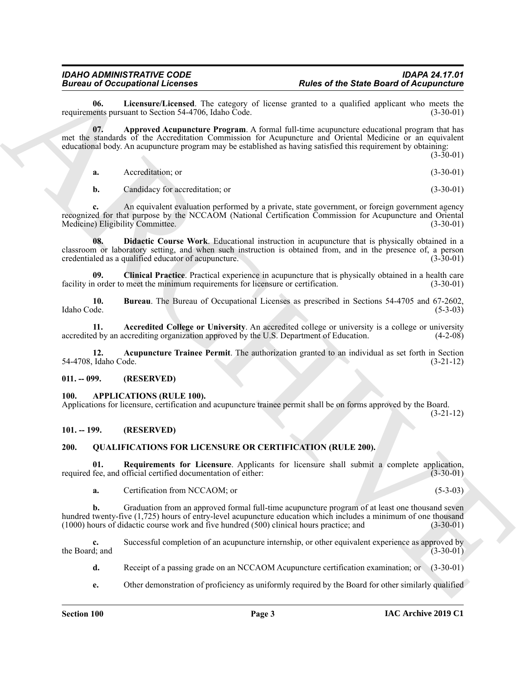<span id="page-2-11"></span>**06.** Licensure/Licensed. The category of license granted to a qualified applicant who meets the ents pursuant to Section 54-4706. Idaho Code. (3-30-01) requirements pursuant to Section 54-4706, Idaho Code.

Bureau of Decembers 21. **Pulses of the State Board of Acquisition**<br>
Engineering Line metrics and the state point of the state and the state of the state of the state of the state of the state of the state of the state of **07. Approved Acupuncture Program**. A formal full-time acupuncture educational program that has met the standards of the Accreditation Commission for Acupuncture and Oriental Medicine or an equivalent educational body. An acupuncture program may be established as having satisfied this requirement by obtaining:

 $(3-30-01)$ 

<span id="page-2-7"></span>**a.** Accreditation; or (3-30-01)

<span id="page-2-10"></span>**b.** Candidacy for accreditation; or (3-30-01)

**c.** An equivalent evaluation performed by a private, state government, or foreign government agency recognized for that purpose by the NCCAOM (National Certification Commission for Acupuncture and Oriental Medicine) Eligibility Committee. (3-30-01)

**08. Didactic Course Work**. Educational instruction in acupuncture that is physically obtained in a classroom or laboratory setting, and when such instruction is obtained from, and in the presence of, a person credentialed as a qualified educator of acupuncture. (3-30-01)

<span id="page-2-9"></span>**09.** Clinical Practice. Practical experience in acupuncture that is physically obtained in a health care norder to meet the minimum requirements for licensure or certification. (3-30-01) facility in order to meet the minimum requirements for licensure or certification.

<span id="page-2-8"></span>**10. Bureau**. The Bureau of Occupational Licenses as prescribed in Sections 54-4705 and 67-2602, Idaho Code. (5-3-03)

<span id="page-2-5"></span>**11.** Accredited College or University. An accredited college or university is a college or university d by an accrediting organization approved by the U.S. Department of Education. (4-2-08) accredited by an accrediting organization approved by the U.S. Department of Education.

<span id="page-2-6"></span>**12. Acupuncture Trainee Permit**. The authorization granted to an individual as set forth in Section 54-4708, Idaho Code. (3-21-12)

#### <span id="page-2-0"></span>**011. -- 099. (RESERVED)**

#### <span id="page-2-4"></span><span id="page-2-1"></span>**100. APPLICATIONS (RULE 100).**

Applications for licensure, certification and acupuncture trainee permit shall be on forms approved by the Board.

(3-21-12)

### <span id="page-2-2"></span>**101. -- 199. (RESERVED)**

### <span id="page-2-12"></span><span id="page-2-3"></span>**200. QUALIFICATIONS FOR LICENSURE OR CERTIFICATION (RULE 200).**

**01.** Requirements for Licensure. Applicants for licensure shall submit a complete application, fee, and official certified documentation of either: (3-30-01) required fee, and official certified documentation of either:

<span id="page-2-13"></span>**a.** Certification from NCCAOM; or (5-3-03)

**b.** Graduation from an approved formal full-time acupuncture program of at least one thousand seven hundred twenty-five (1,725) hours of entry-level acupuncture education which includes a minimum of one thousand (1000) hours of didactic course work and five hundred (500) clinical hours practice; and (3-30-01)  $(1000)$  hours of didactic course work and five hundred  $(500)$  clinical hours practice; and

**c.** Successful completion of an acupuncture internship, or other equivalent experience as approved by the Board; and  $(3-30-01)$ 

- **d.** Receipt of a passing grade on an NCCAOM Acupuncture certification examination; or (3-30-01)
- **e.** Other demonstration of proficiency as uniformly required by the Board for other similarly qualified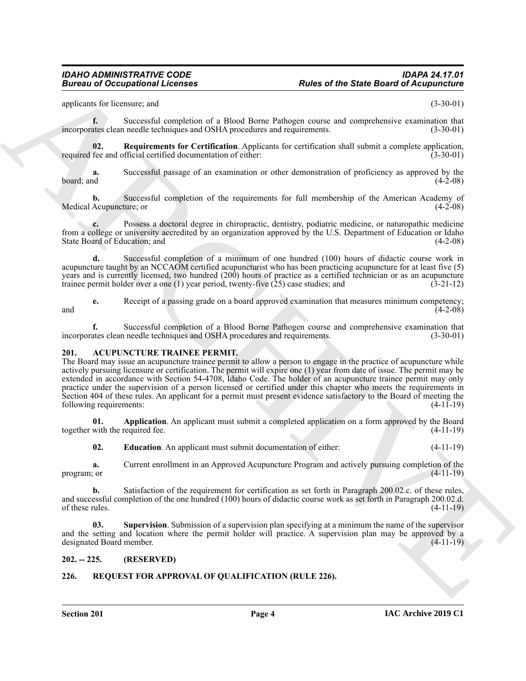#### *IDAHO ADMINISTRATIVE CODE IDAPA 24.17.01* **Rules of the State Board of Acupuncture**

applicants for licensure; and (3-30-01)

**f.** Successful completion of a Blood Borne Pathogen course and comprehensive examination that ates clean needle techniques and OSHA procedures and requirements. (3-30-01) incorporates clean needle techniques and OSHA procedures and requirements.

<span id="page-3-7"></span>**02.** Requirements for Certification. Applicants for certification shall submit a complete application, fee and official certified documentation of either: (3-30-01) required fee and official certified documentation of either:

**a.** Successful passage of an examination or other demonstration of proficiency as approved by the board; and (4-2-08)  $\beta$  board; and  $(4-2-08)$ 

**b.** Successful completion of the requirements for full membership of the American Academy of Acupuncture: or (4-2-08) Medical Acupuncture; or

**c.** Possess a doctoral degree in chiropractic, dentistry, podiatric medicine, or naturopathic medicine from a college or university accredited by an organization approved by the U.S. Department of Education or Idaho State Board of Education; and (4-2-08)

**d.** Successful completion of a minimum of one hundred (100) hours of didactic course work in acupuncture taught by an NCCAOM certified acupuncturist who has been practicing acupuncture for at least five (5) years and is currently licensed, two hundred (200) hours of practice as a certified technician or as an acupuncture trainee permit holder over a one (1) year period, twenty-five (25) case studies; and (3-21-12) trainee permit holder over a one  $(1)$  year period, twenty-five  $(25)$  case studies; and

**e.** Receipt of a passing grade on a board approved examination that measures minimum competency;<br>(4-2-08)  $(4-2-08)$ 

**f.** Successful completion of a Blood Borne Pathogen course and comprehensive examination that ates clean needle techniques and OSHA procedures and requirements. (3-30-01) incorporates clean needle techniques and OSHA procedures and requirements.

#### <span id="page-3-3"></span><span id="page-3-0"></span>**201. ACUPUNCTURE TRAINEE PERMIT.**

**Example 20** Conceptions I Leonards<br>
The state Bost of the State Board of Action Conception<br>
conception and complete the property of the state Board Pathogen concept and conventions (3) 200-81<br>
income conception and compl The Board may issue an acupuncture trainee permit to allow a person to engage in the practice of acupuncture while actively pursuing licensure or certification. The permit will expire one (1) year from date of issue. The permit may be extended in accordance with Section 54-4708, Idaho Code. The holder of an acupuncture trainee permit may only practice under the supervision of a person licensed or certified under this chapter who meets the requirements in Section 404 of these rules. An applicant for a permit must present evidence satisfactory to the Board of meeting the following requirements: (4-11-19)

**01. Application**. An applicant must submit a completed application on a form approved by the Board together with the required fee. (4-11-19)

<span id="page-3-5"></span><span id="page-3-4"></span>**02. Education**. An applicant must submit documentation of either: (4-11-19)

**a.** Current enrollment in an Approved Acupuncture Program and actively pursuing completion of the (3.0) program; or  $(4-11-19)$ 

**b.** Satisfaction of the requirement for certification as set forth in Paragraph 200.02.c. of these rules, and successful completion of the one hundred (100) hours of didactic course work as set forth in Paragraph 200.02.d. of these rules.  $(4-11-19)$ 

<span id="page-3-6"></span>**03. Supervision**. Submission of a supervision plan specifying at a minimum the name of the supervisor and the setting and location where the permit holder will practice. A supervision plan may be approved by a designated Board member. (4-11-19)

#### <span id="page-3-1"></span>**202. -- 225. (RESERVED)**

#### <span id="page-3-8"></span><span id="page-3-2"></span>**226. REQUEST FOR APPROVAL OF QUALIFICATION (RULE 226).**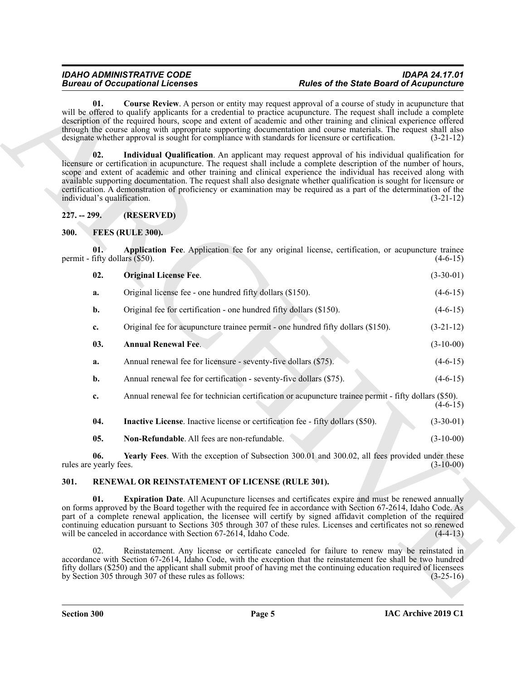#### *IDAHO ADMINISTRATIVE CODE IDAPA 24.17.01* **Rules of the State Board of Acupuncture**

<span id="page-4-14"></span><span id="page-4-13"></span>**01. Course Review**. A person or entity may request approval of a course of study in acupuncture that will be offered to qualify applicants for a credential to practice acupuncture. The request shall include a complete description of the required hours, scope and extent of academic and other training and clinical experience offered through the course along with appropriate supporting documentation and course materials. The request shall also designate whether approval is sought for compliance with standards for licensure or certification. (3-21-12)

**Example 2. Conseil and The Conseil and The Conseil and The Conseil and The Conseil and The Conseil and The Conseil and The Conseil and The Conseil and The Conseil and The Conseil and The Conseil and The Conseil and The 02. Individual Qualification**. An applicant may request approval of his individual qualification for licensure or certification in acupuncture. The request shall include a complete description of the number of hours, scope and extent of academic and other training and clinical experience the individual has received along with available supporting documentation. The request shall also designate whether qualification is sought for licensure or certification. A demonstration of proficiency or examination may be required as a part of the determination of the individual's qualification. (3-21-12)

<span id="page-4-0"></span>**227. -- 299. (RESERVED)**

<span id="page-4-3"></span><span id="page-4-1"></span>**300. FEES (RULE 300).**

**01. Application Fee**. Application fee for any original license, certification, or acupuncture trainee permit - fifty dollars  $(\$50)$ .  $(4-6-15)$ 

<span id="page-4-8"></span><span id="page-4-5"></span>

| 02. | <b>Original License Fee.</b>                              | $(3-30-01)$ |
|-----|-----------------------------------------------------------|-------------|
|     | Original license fee - one hundred fifty dollars (\$150). | $(4-6-15)$  |

**b.** Original fee for certification - one hundred fifty dollars (\$150). (4-6-15)

<span id="page-4-4"></span>**c.** Original fee for acupuncture trainee permit - one hundred fifty dollars (\$150). (3-21-12)

- **03. Annual Renewal Fee**. (3-10-00) **a.** Annual renewal fee for licensure - seventy-five dollars (\$75). (4-6-15)
- **b.** Annual renewal fee for certification seventy-five dollars (\$75). (4-6-15)
- **c.** Annual renewal fee for technician certification or acupuncture trainee permit fifty dollars (\$50).  $(4-6-15)$ **04.** Inactive License. Inactive license or certification fee - fifty dollars (\$50). (3-30-01)

<span id="page-4-9"></span><span id="page-4-7"></span><span id="page-4-6"></span>**05. Non-Refundable**. All fees are non-refundable. (3-10-00)

**06. Yearly Fees**. With the exception of Subsection 300.01 and 300.02, all fees provided under these rules are yearly fees. (3-10-00)

### <span id="page-4-10"></span><span id="page-4-2"></span>**301. RENEWAL OR REINSTATEMENT OF LICENSE (RULE 301).**

<span id="page-4-11"></span>**01. Expiration Date**. All Acupuncture licenses and certificates expire and must be renewed annually on forms approved by the Board together with the required fee in accordance with Section 67-2614, Idaho Code. As part of a complete renewal application, the licensee will certify by signed affidavit completion of the required continuing education pursuant to Sections 305 through 307 of these rules. Licenses and certificates not so renewed will be canceled in accordance with Section 67-2614, Idaho Code. (4-4-13)

<span id="page-4-12"></span>02. Reinstatement. Any license or certificate canceled for failure to renew may be reinstated in accordance with Section 67-2614, Idaho Code, with the exception that the reinstatement fee shall be two hundred fifty dollars (\$250) and the applicant shall submit proof of having met the continuing education required of licensees<br>by Section 305 through 307 of these rules as follows:<br>(3-25-16) by Section  $305$  through  $307$  of these rules as follows: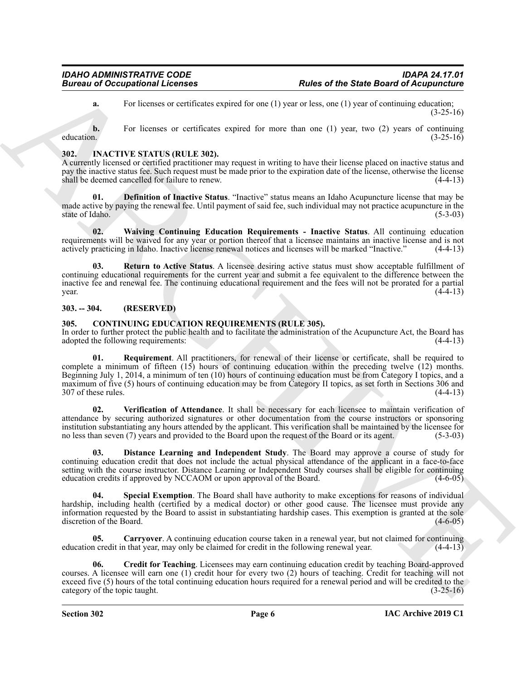**a.** For licenses or certificates expired for one (1) year or less, one (1) year of continuing education; (3-25-16)

**b.** For licenses or certificates expired for more than one (1) year, two (2) years of continuing education. (3-25-16) education.  $(3-25-16)$ 

### <span id="page-5-10"></span><span id="page-5-0"></span>**302. INACTIVE STATUS (RULE 302).**

A currently licensed or certified practitioner may request in writing to have their license placed on inactive status and pay the inactive status fee. Such request must be made prior to the expiration date of the license, otherwise the license shall be deemed cancelled for failure to renew. (4-4-13)

<span id="page-5-11"></span>**01. Definition of Inactive Status**. "Inactive" status means an Idaho Acupuncture license that may be made active by paying the renewal fee. Until payment of said fee, such individual may not practice acupuncture in the state of Idaho. (5-3-03)

<span id="page-5-13"></span>**02. Waiving Continuing Education Requirements - Inactive Status**. All continuing education requirements will be waived for any year or portion thereof that a licensee maintains an inactive license and is not actively practicing in Idaho. Inactive license renewal notices and licenses will be marked "Inactive." (4-4-13)

<span id="page-5-12"></span>**03. Return to Active Status**. A licensee desiring active status must show acceptable fulfillment of continuing educational requirements for the current year and submit a fee equivalent to the difference between the inactive fee and renewal fee. The continuing educational requirement and the fees will not be prorated for a partial  $\mu$  year.  $(4-4-13)$ 

#### <span id="page-5-1"></span>**303. -- 304. (RESERVED)**

#### <span id="page-5-3"></span><span id="page-5-2"></span>**305. CONTINUING EDUCATION REQUIREMENTS (RULE 305).**

<span id="page-5-7"></span>In order to further protect the public health and to facilitate the administration of the Acupuncture Act, the Board has adopted the following requirements:

Burear of Occupations I Leonard <br>
For the state Board of Acquisitions comes of the state Board of Acquisitions<br>  $\mu$  the Hermann Architects comes license and the state of the state of the state of the state of the state o **01. Requirement**. All practitioners, for renewal of their license or certificate, shall be required to complete a minimum of fifteen (15) hours of continuing education within the preceding twelve (12) months. Beginning July 1, 2014, a minimum of ten (10) hours of continuing education must be from Category I topics, and a maximum of five (5) hours of continuing education may be from Category II topics, as set forth in Sections 306 and 307 of these rules. (4-4-13)

<span id="page-5-9"></span>**02. Verification of Attendance**. It shall be necessary for each licensee to maintain verification of attendance by securing authorized signatures or other documentation from the course instructors or sponsoring institution substantiating any hours attended by the applicant. This verification shall be maintained by the licensee for no less than seven (7) years and provided to the Board upon the request of the Board or its agent. (5-3-03)

<span id="page-5-6"></span>**03. Distance Learning and Independent Study**. The Board may approve a course of study for continuing education credit that does not include the actual physical attendance of the applicant in a face-to-face setting with the course instructor. Distance Learning or Independent Study courses shall be eligible for continuing education credits if approved by NCCAOM or upon approval of the Board. (4-6-05)

<span id="page-5-8"></span>**04. Special Exemption**. The Board shall have authority to make exceptions for reasons of individual hardship, including health (certified by a medical doctor) or other good cause. The licensee must provide any information requested by the Board to assist in substantiating hardship cases. This exemption is granted at the sole discretion of the Board. (4-6-05)

<span id="page-5-4"></span>**05. Carryover**. A continuing education course taken in a renewal year, but not claimed for continuing a credit in the following renewal year. (4-4-13) education credit in that year, may only be claimed for credit in the following renewal year.

<span id="page-5-5"></span>**06. Credit for Teaching**. Licensees may earn continuing education credit by teaching Board-approved courses. A licensee will earn one (1) credit hour for every two (2) hours of teaching. Credit for teaching will not exceed five (5) hours of the total continuing education hours required for a renewal period and will be credited to the category of the topic taught. (3-25-16)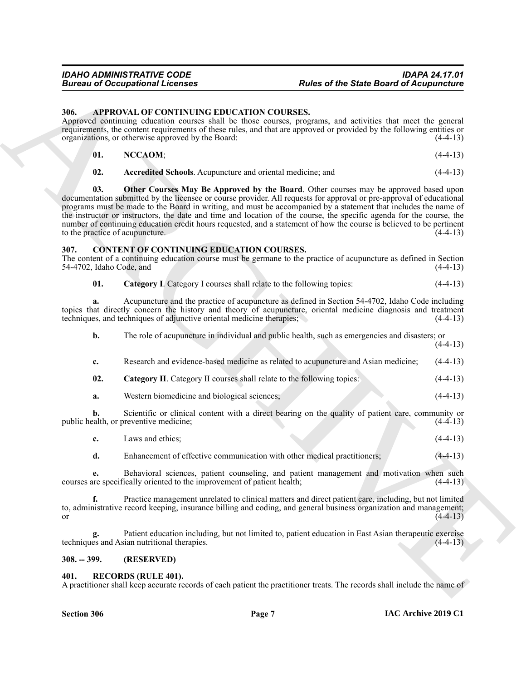#### <span id="page-6-4"></span><span id="page-6-0"></span>**306. APPROVAL OF CONTINUING EDUCATION COURSES.**

<span id="page-6-7"></span><span id="page-6-6"></span><span id="page-6-5"></span>

| $\vee$ 01. | NCCAOM; | $(4-4-13)$ |
|------------|---------|------------|
|            |         |            |

#### <span id="page-6-10"></span><span id="page-6-9"></span><span id="page-6-8"></span><span id="page-6-1"></span>**307. CONTENT OF CONTINUING EDUCATION COURSES.**

|                                        | <b>Bureau of Occupational Licenses</b>                                                                                                                                                                                                                                                                                                                                                                                                                                                                                                                                          | <b>Rules of the State Board of Acupuncture</b> |            |
|----------------------------------------|---------------------------------------------------------------------------------------------------------------------------------------------------------------------------------------------------------------------------------------------------------------------------------------------------------------------------------------------------------------------------------------------------------------------------------------------------------------------------------------------------------------------------------------------------------------------------------|------------------------------------------------|------------|
| 306.                                   | APPROVAL OF CONTINUING EDUCATION COURSES.<br>Approved continuing education courses shall be those courses, programs, and activities that meet the general<br>requirements, the content requirements of these rules, and that are approved or provided by the following entities or                                                                                                                                                                                                                                                                                              |                                                |            |
|                                        | organizations, or otherwise approved by the Board:                                                                                                                                                                                                                                                                                                                                                                                                                                                                                                                              | $(4-4-13)$                                     |            |
| 01.                                    | NCCAOM;                                                                                                                                                                                                                                                                                                                                                                                                                                                                                                                                                                         |                                                | $(4-4-13)$ |
| 02.                                    | Accredited Schools. Acupuncture and oriental medicine; and                                                                                                                                                                                                                                                                                                                                                                                                                                                                                                                      |                                                | $(4-4-13)$ |
| 03.<br>to the practice of acupuncture. | Other Courses May Be Approved by the Board. Other courses may be approved based upon<br>documentation submitted by the licensee or course provider. All requests for approval or pre-approval of educational<br>programs must be made to the Board in writing, and must be accompanied by a statement that includes the name of<br>the instructor or instructors, the date and time and location of the course, the specific agenda for the course, the<br>number of continuing education credit hours requested, and a statement of how the course is believed to be pertinent |                                                | $(4-4-13)$ |
| 307.<br>54-4702, Idaho Code, and       | <b>CONTENT OF CONTINUING EDUCATION COURSES.</b><br>The content of a continuing education course must be germane to the practice of acupuncture as defined in Section                                                                                                                                                                                                                                                                                                                                                                                                            |                                                | $(4-4-13)$ |
| 01.                                    | Category I. Category I courses shall relate to the following topics:                                                                                                                                                                                                                                                                                                                                                                                                                                                                                                            |                                                | $(4-4-13)$ |
| a.                                     | Acupuncture and the practice of acupuncture as defined in Section 54-4702, Idaho Code including<br>topics that directly concern the history and theory of acupuncture, oriental medicine diagnosis and treatment<br>techniques, and techniques of adjunctive oriental medicine therapies;                                                                                                                                                                                                                                                                                       |                                                | $(4-4-13)$ |
| b.                                     | The role of acupuncture in individual and public health, such as emergencies and disasters; or                                                                                                                                                                                                                                                                                                                                                                                                                                                                                  |                                                | $(4-4-13)$ |
| c.                                     | Research and evidence-based medicine as related to acupuncture and Asian medicine;                                                                                                                                                                                                                                                                                                                                                                                                                                                                                              |                                                | $(4-4-13)$ |
| 02.                                    | Category II. Category II courses shall relate to the following topics:                                                                                                                                                                                                                                                                                                                                                                                                                                                                                                          |                                                | $(4-4-13)$ |
| a.                                     | Western biomedicine and biological sciences;                                                                                                                                                                                                                                                                                                                                                                                                                                                                                                                                    |                                                | $(4-4-13)$ |
| b.                                     | Scientific or clinical content with a direct bearing on the quality of patient care, community or<br>public health, or preventive medicine;                                                                                                                                                                                                                                                                                                                                                                                                                                     |                                                | $(4-4-13)$ |
| c.                                     | Laws and ethics;                                                                                                                                                                                                                                                                                                                                                                                                                                                                                                                                                                |                                                | $(4-4-13)$ |
| d.                                     | Enhancement of effective communication with other medical practitioners;                                                                                                                                                                                                                                                                                                                                                                                                                                                                                                        |                                                | $(4-4-13)$ |
| e.                                     | Behavioral sciences, patient counseling, and patient management and motivation when such<br>courses are specifically oriented to the improvement of patient health;<br>$(4-4-13)$                                                                                                                                                                                                                                                                                                                                                                                               |                                                |            |
| f.<br><b>or</b>                        | Practice management unrelated to clinical matters and direct patient care, including, but not limited<br>to, administrative record keeping, insurance billing and coding, and general business organization and management;<br>$(4-4-13)$                                                                                                                                                                                                                                                                                                                                       |                                                |            |
| g.                                     | Patient education including, but not limited to, patient education in East Asian therapeutic exercise<br>techniques and Asian nutritional therapies.                                                                                                                                                                                                                                                                                                                                                                                                                            |                                                | $(4-4-13)$ |
|                                        |                                                                                                                                                                                                                                                                                                                                                                                                                                                                                                                                                                                 |                                                |            |

#### <span id="page-6-2"></span>**308. -- 399. (RESERVED)**

#### <span id="page-6-11"></span><span id="page-6-3"></span>**401. RECORDS (RULE 401).**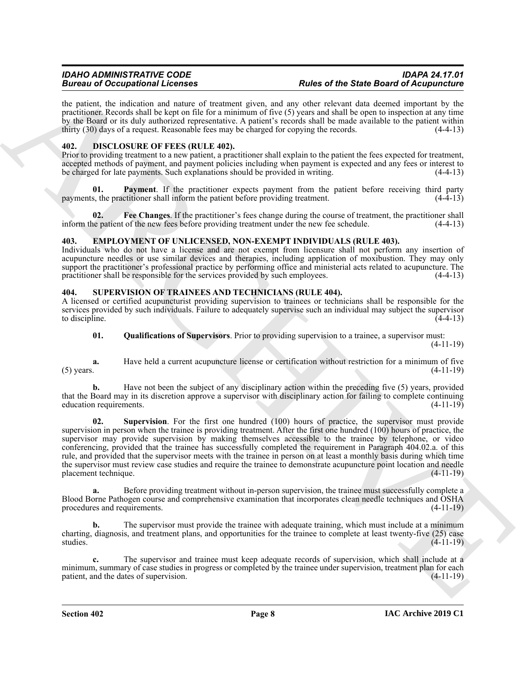the patient, the indication and nature of treatment given, and any other relevant data deemed important by the practitioner. Records shall be kept on file for a minimum of five (5) years and shall be open to inspection at any time by the Board or its duly authorized representative. A patient's records shall be made available to the patient within thirty (30) days of a request. Reasonable fees may be charged for copying the records. (4-4-13)

#### <span id="page-7-3"></span><span id="page-7-0"></span>**402. DISCLOSURE OF FEES (RULE 402).**

Prior to providing treatment to a new patient, a practitioner shall explain to the patient the fees expected for treatment, accepted methods of payment, and payment policies including when payment is expected and any fees or interest to be charged for late payments. Such explanations should be provided in writing. (4-4-13)

<span id="page-7-5"></span>**01. Payment**. If the practitioner expects payment from the patient before receiving third party payments, the practitioner shall inform the patient before providing treatment. (4-4-13)

<span id="page-7-4"></span>**02. Fee Changes**. If the practitioner's fees change during the course of treatment, the practitioner shall inform the patient of the new fees before providing treatment under the new fee schedule. (4-4-13)

#### <span id="page-7-6"></span><span id="page-7-1"></span>**403. EMPLOYMENT OF UNLICENSED, NON-EXEMPT INDIVIDUALS (RULE 403).**

Individuals who do not have a license and are not exempt from licensure shall not perform any insertion of acupuncture needles or use similar devices and therapies, including application of moxibustion. They may only support the practitioner's professional practice by performing office and ministerial acts related to acupuncture. The practitioner shall be responsible for the services provided by such employees. (4-4-13)

#### <span id="page-7-7"></span><span id="page-7-2"></span>**404. SUPERVISION OF TRAINEES AND TECHNICIANS (RULE 404).**

A licensed or certified acupuncturist providing supervision to trainees or technicians shall be responsible for the services provided by such individuals. Failure to adequately supervise such an individual may subject the supervisor to discipline. (4-4-13) to discipline.  $(4-4-13)$ 

<span id="page-7-8"></span>**01. Qualifications of Supervisors**. Prior to providing supervision to a trainee, a supervisor must:

(4-11-19)

**a.** Have held a current acupuncture license or certification without restriction for a minimum of five (5) years. (4-11-19) (5) years.  $(4-11-19)$ 

<span id="page-7-9"></span>**b.** Have not been the subject of any disciplinary action within the preceding five (5) years, provided that the Board may in its discretion approve a supervisor with disciplinary action for failing to complete continuing education requirements. (4-11-19)

ARCHIVE **02. Supervision**. For the first one hundred (100) hours of practice, the supervisor must provide supervision in person when the trainee is providing treatment. After the first one hundred (100) hours of practice, the supervisor may provide supervision by making themselves accessible to the trainee by telephone, or video conferencing, provided that the trainee has successfully completed the requirement in Paragraph 404.02.a. of this rule, and provided that the supervisor meets with the trainee in person on at least a monthly basis during which time the supervisor must review case studies and require the trainee to demonstrate acupuncture point location and needle placement technique. (4-11-19)

**a.** Before providing treatment without in-person supervision, the trainee must successfully complete a Blood Borne Pathogen course and comprehensive examination that incorporates clean needle techniques and OSHA procedures and requirements. (4-11-19)

The supervisor must provide the trainee with adequate training, which must include at a minimum charting, diagnosis, and treatment plans, and opportunities for the trainee to complete at least twenty-five (25) case studies. (4-11-19)

**c.** The supervisor and trainee must keep adequate records of supervision, which shall include at a minimum, summary of case studies in progress or completed by the trainee under supervision, treatment plan for each patient, and the dates of supervision. (4-11-19) patient, and the dates of supervision.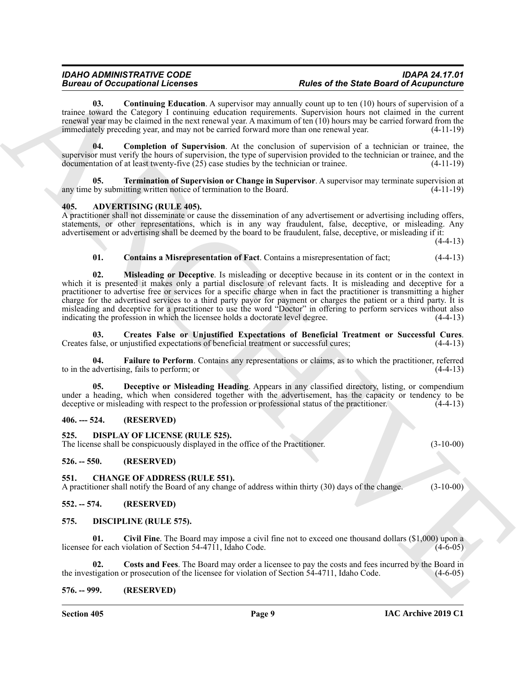<span id="page-8-20"></span>**03. Continuing Education**. A supervisor may annually count up to ten (10) hours of supervision of a trainee toward the Category I continuing education requirements. Supervision hours not claimed in the current renewal year may be claimed in the next renewal year. A maximum of ten (10) hours may be carried forward from the immediately preceding year, and may not be carried forward more than one renewal year. (4-11-19)

<span id="page-8-19"></span>**04. Completion of Supervision**. At the conclusion of supervision of a technician or trainee, the supervisor must verify the hours of supervision, the type of supervision provided to the technician or trainee, and the documentation of at least twenty-five (25) case studies by the technician or trainee. (4-11-19)

<span id="page-8-21"></span>**05. Termination of Supervision or Change in Supervisor**. A supervisor may terminate supervision at any time by submitting written notice of termination to the Board. (4-11-19)

#### <span id="page-8-8"></span><span id="page-8-0"></span>**405. ADVERTISING (RULE 405).**

A practitioner shall not disseminate or cause the dissemination of any advertisement or advertising including offers, statements, or other representations, which is in any way fraudulent, false, deceptive, or misleading. Any advertisement or advertising shall be deemed by the board to be fraudulent, false, deceptive, or misleading if it:

(4-4-13)

#### <span id="page-8-13"></span><span id="page-8-9"></span>**01. Contains a Misrepresentation of Fact**. Contains a misrepresentation of fact; (4-4-13)

ARCHIVE **02. Misleading or Deceptive**. Is misleading or deceptive because in its content or in the context in which it is presented it makes only a partial disclosure of relevant facts. It is misleading and deceptive for a practitioner to advertise free or services for a specific charge when in fact the practitioner is transmitting a higher charge for the advertised services to a third party payor for payment or charges the patient or a third party. It is misleading and deceptive for a practitioner to use the word "Doctor" in offering to perform services without also indicating the profession in which the licensee holds a doctorate level degree. (4-4-13) indicating the profession in which the licensee holds a doctorate level degree.

<span id="page-8-10"></span>**03.** Creates False or Unjustified Expectations of Beneficial Treatment or Successful Cures. (4-4-13) calse, or unjustified expectations of beneficial treatment or successful cures: Creates false, or unjustified expectations of beneficial treatment or successful cures;

<span id="page-8-12"></span>**Failure to Perform**. Contains any representations or claims, as to which the practitioner, referred to in the advertising, fails to perform; or (4-4-13)

<span id="page-8-11"></span>**05. Deceptive or Misleading Heading**. Appears in any classified directory, listing, or compendium under a heading, which when considered together with the advertisement, has the capacity or tendency to be deceptive or misleading with respect to the profession or professional status of the practitioner. (4-4-13)

#### <span id="page-8-1"></span>**406. --- 524. (RESERVED)**

#### <span id="page-8-18"></span><span id="page-8-2"></span>**525. DISPLAY OF LICENSE (RULE 525).**

The license shall be conspicuously displayed in the office of the Practitioner. (3-10-00)

#### <span id="page-8-3"></span>**526. -- 550. (RESERVED)**

#### <span id="page-8-14"></span><span id="page-8-4"></span>**551. CHANGE OF ADDRESS (RULE 551).**

A practitioner shall notify the Board of any change of address within thirty (30) days of the change. (3-10-00)

#### <span id="page-8-5"></span>**552. -- 574. (RESERVED)**

#### <span id="page-8-15"></span><span id="page-8-6"></span>**575. DISCIPLINE (RULE 575).**

<span id="page-8-16"></span>**01. Civil Fine**. The Board may impose a civil fine not to exceed one thousand dollars (\$1,000) upon a licensee for each violation of Section 54-4711, Idaho Code.

<span id="page-8-17"></span>**02. Costs and Fees**. The Board may order a licensee to pay the costs and fees incurred by the Board in the investigation or prosecution of the licensee for violation of Section 54-4711, Idaho Code. (4-6-05)

#### <span id="page-8-7"></span>**576. -- 999. (RESERVED)**